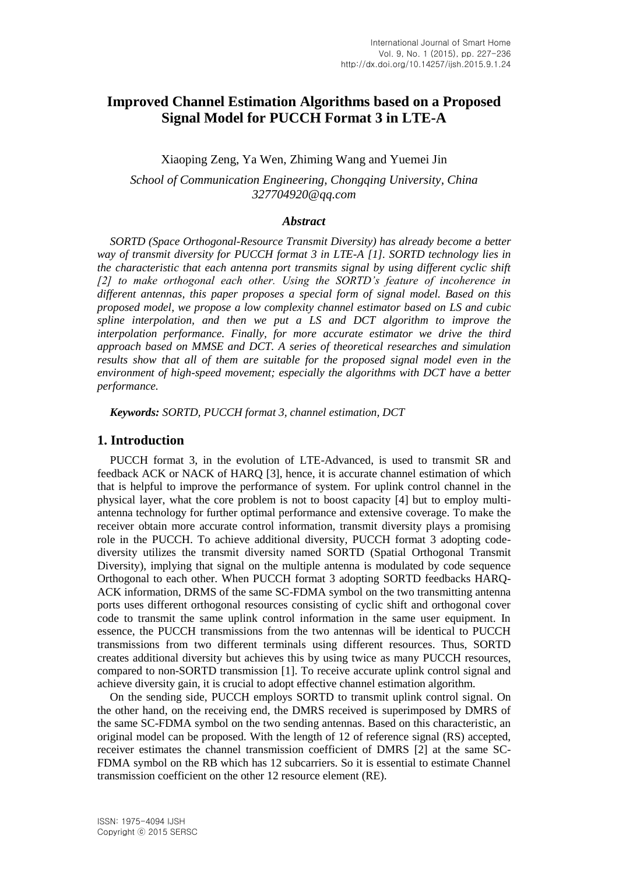# **Improved Channel Estimation Algorithms based on a Proposed Signal Model for PUCCH Format 3 in LTE-A**

Xiaoping Zeng, Ya Wen, Zhiming Wang and Yuemei Jin

*School of Communication Engineering, Chongqing University, China 327704920@qq.com*

### *Abstract*

*SORTD (Space Orthogonal-Resource Transmit Diversity) has already become a better way of transmit diversity for PUCCH format 3 in LTE-A [1]. SORTD technology lies in the characteristic that each antenna port transmits signal by using different cyclic shift [2] to make orthogonal each other. Using the SORTD's feature of incoherence in different antennas, this paper proposes a special form of signal model. Based on this proposed model, we propose a low complexity channel estimator based on LS and cubic spline interpolation, and then we put a LS and DCT algorithm to improve the interpolation performance. Finally, for more accurate estimator we drive the third approach based on MMSE and DCT. A series of theoretical researches and simulation results show that all of them are suitable for the proposed signal model even in the environment of high-speed movement; especially the algorithms with DCT have a better performance.*

*Keywords: SORTD, PUCCH format 3, channel estimation, DCT*

#### **1. Introduction**

PUCCH format 3, in the evolution of LTE-Advanced, is used to transmit SR and feedback ACK or NACK of HARQ [3], hence, it is accurate channel estimation of which that is helpful to improve the performance of system. For uplink control channel in the physical layer, what the core problem is not to boost capacity [4] but to employ multiantenna technology for further optimal performance and extensive coverage. To make the receiver obtain more accurate control information, transmit diversity plays a promising role in the PUCCH. To achieve additional diversity, PUCCH format 3 adopting codediversity utilizes the transmit diversity named SORTD (Spatial Orthogonal Transmit Diversity), implying that signal on the multiple antenna is modulated by code sequence Orthogonal to each other. When PUCCH format 3 adopting SORTD feedbacks HARQ-ACK information, DRMS of the same SC-FDMA symbol on the two transmitting antenna ports uses different orthogonal resources consisting of cyclic shift and orthogonal cover code to transmit the same uplink control information in the same user equipment. In essence, the PUCCH transmissions from the two antennas will be identical to PUCCH transmissions from two different terminals using different resources. Thus, SORTD creates additional diversity but achieves this by using twice as many PUCCH resources, compared to non-SORTD transmission [1]. To receive accurate uplink control signal and achieve diversity gain, it is crucial to adopt effective channel estimation algorithm.

On the sending side, PUCCH employs SORTD to transmit uplink control signal. On the other hand, on the receiving end, the DMRS received is superimposed by DMRS of the same SC-FDMA symbol on the two sending antennas. Based on this characteristic, an original model can be proposed. With the length of 12 of reference signal (RS) accepted, receiver estimates the channel transmission coefficient of DMRS [2] at the same SC-FDMA symbol on the RB which has 12 subcarriers. So it is essential to estimate Channel transmission coefficient on the other 12 resource element (RE).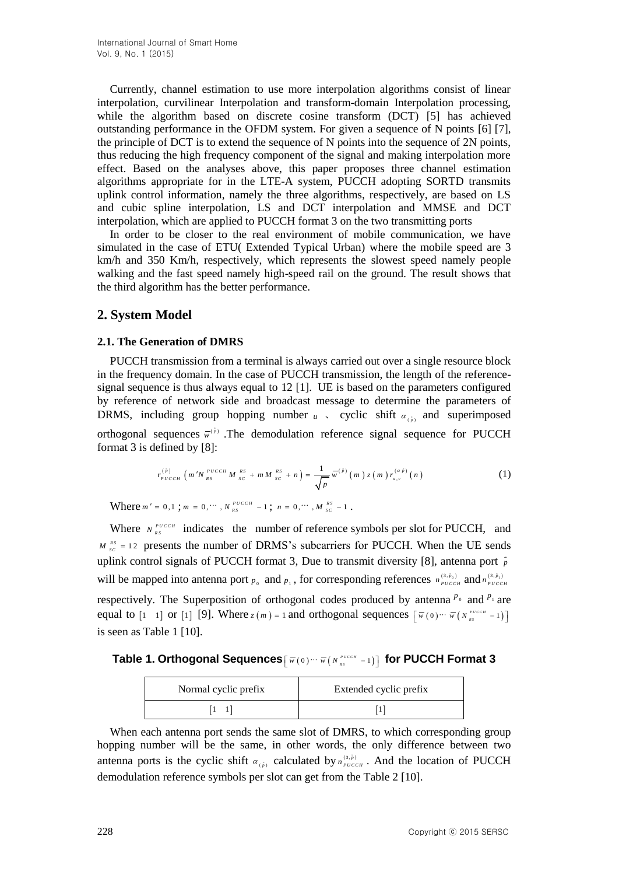Currently, channel estimation to use more interpolation algorithms consist of linear interpolation, curvilinear Interpolation and transform-domain Interpolation processing, while the algorithm based on discrete cosine transform (DCT) [5] has achieved outstanding performance in the OFDM system. For given a sequence of N points [6] [7], the principle of DCT is to extend the sequence of N points into the sequence of 2N points, thus reducing the high frequency component of the signal and making interpolation more effect. Based on the analyses above, this paper proposes three channel estimation algorithms appropriate for in the LTE-A system, PUCCH adopting SORTD transmits uplink control information, namely the three algorithms, respectively, are based on LS and cubic spline interpolation, LS and DCT interpolation and MMSE and DCT interpolation, which are applied to PUCCH format 3 on the two transmitting ports

In order to be closer to the real environment of mobile communication, we have simulated in the case of ETU( Extended Typical Urban) where the mobile speed are 3 km/h and 350 Km/h, respectively, which represents the slowest speed namely people walking and the fast speed namely high-speed rail on the ground. The result shows that the third algorithm has the better performance.

## **2. System Model**

#### **2.1. The Generation of DMRS**

PUCCH transmission from a terminal is always carried out over a single resource block in the frequency domain. In the case of PUCCH transmission, the length of the referencesignal sequence is thus always equal to 12 [1]. UE is based on the parameters configured by reference of network side and broadcast message to determine the parameters of DRMS, including group hopping number  $u$ , cyclic shift  $\alpha_{(p)}$  and superimposed orthogonal sequences  $\vec{w}^{(p)}$ . The demodulation reference signal sequence for PUCCH format 3 is defined by [8]:

$$
r_{p_{UCGH}}^{(\bar{p})}\left(m'N_{_{RS}}^{_{p_{UCGH}}}M_{_{SC}}^{_{RS}}+mM_{_{SC}}^{_{RS}}+n\right)=\frac{1}{\sqrt{p}}\overline{w}^{(\bar{p})}\left(m\right)z\left(m\right)r_{_{u,v}}^{(\alpha\bar{p})}\left(n\right) \tag{1}
$$

Where  $m' = 0, 1$ ;  $m = 0, \cdots, N_{RS}^{PUCCH} - 1$ ;  $n = 0, \cdots, M_{SC}^{RS} - 1$ .

Where  $N_{RS}^{PUCCH}$  indicates the number of reference symbols per slot for PUCCH, and  $M_{SC}^{RS}$  = 12 presents the number of DRMS's subcarriers for PUCCH. When the UE sends uplink control signals of PUCCH format 3, Due to transmit diversity [8], antenna port *p* will be mapped into antenna port  $p_0$  and  $p_1$ , for corresponding references  $n_{pucCH}^{(3,\tilde{p}_0)}$  and  $n_{pucCH}^{(3,\tilde{p}_1)}$ respectively. The Superposition of orthogonal codes produced by antenna  $P_0$  and  $P_1$  are equal to  $\begin{bmatrix} 1 & 1 \end{bmatrix}$  or  $\begin{bmatrix} 1 \end{bmatrix}$  [9]. Where  $z(m) = 1$  and orthogonal sequences  $\begin{bmatrix} \overline{w}(0) \cdots \overline{w}(N_{\text{gs}}^{\text{pucc}} - 1) \end{bmatrix}$ is seen as Table 1 [10].

 ${\sf Table~1.}$  Orthogonal Sequences $\left[\,\overline{\mathbf{w}}\,(\mathbf{0}\right)\cdots\,\overline{\mathbf{w}}\,(\,\overline{\mathbf{N}}\,_{\mathit{ss}}^{\mathit{prec}}\, -1)\,\right]$  for PUCCH Format 3

| Normal cyclic prefix | Extended cyclic prefix |
|----------------------|------------------------|
|                      |                        |

When each antenna port sends the same slot of DMRS, to which corresponding group hopping number will be the same, in other words, the only difference between two antenna ports is the cyclic shift  $\alpha_{(p)}$  calculated by  $n_{p_{UCCH}}^{(3,p)}$ . And the location of PUCCH demodulation reference symbols per slot can get from the Table 2 [10].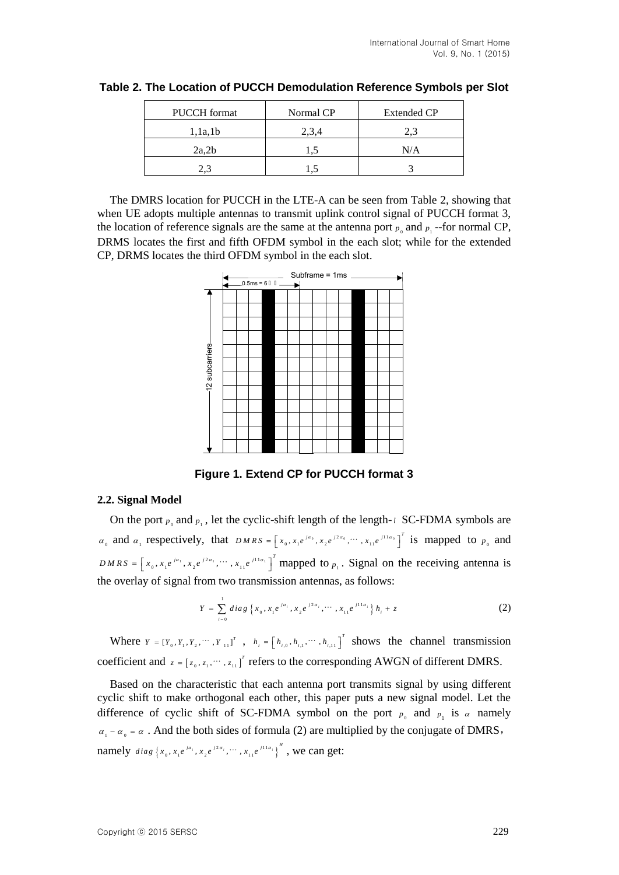| <b>PUCCH</b> format | Normal CP | Extended CP |
|---------------------|-----------|-------------|
| 1, 1a, 1b           | 2.3.4     | 2.          |
| 2a,2b               |           | N/A         |
|                     |           |             |

| Table 2. The Location of PUCCH Demodulation Reference Symbols per Slot |  |  |
|------------------------------------------------------------------------|--|--|
|                                                                        |  |  |

The DMRS location for PUCCH in the LTE-A can be seen from Table 2, showing that when UE adopts multiple antennas to transmit uplink control signal of PUCCH format 3, the location of reference signals are the same at the antenna port  $p_0$  and  $p_1$ -for normal CP, DRMS locates the first and fifth OFDM symbol in the each slot; while for the extended CP, DRMS locates the third OFDM symbol in the each slot.



**Figure 1. Extend CP for PUCCH format 3**

## **2.2. Signal Model**

On the port  $p_0$  and  $p_1$ , let the cyclic-shift length of the length-*l* SC-FDMA symbols are  $\alpha_0$  and  $\alpha_1$  respectively, that  $DMRS = \left[x_0, x_1e^{ja_0}, x_2e^{j2\alpha_0}, \dots, x_{11}e^{j11\alpha_0}\right]^T$  is mapped to  $p_0$  and  $DMRS = \left[x_0, x_1e^{ja_1}, x_2e^{j2a_1}, \cdots, x_{11}e^{j11a_1}\right]^T$  mapped to  $p_1$ . Signal on the receiving antenna is the overlay of signal from two transmission antennas, as follows:

$$
Y = \sum_{i=0}^{1} diag \{x_0, x_1 e^{j\alpha_i}, x_2 e^{j2\alpha_i}, \cdots, x_{11} e^{j11\alpha_i}\} h_i + z
$$
 (2)

Where  $Y = \begin{bmatrix} Y_0, Y_1, Y_2, \cdots, Y_{11} \end{bmatrix}^T$ ,  $h_i = \begin{bmatrix} h_{i,0}, h_{i,1}, \cdots, h_{i,11} \end{bmatrix}^T$  shows the channel transmission coefficient and  $z = [z_0, z_1, \dots, z_{11}]^T$  refers to the corresponding AWGN of different DMRS.

Based on the characteristic that each antenna port transmits signal by using different cyclic shift to make orthogonal each other, this paper puts a new signal model. Let the difference of cyclic shift of SC-FDMA symbol on the port  $p_0$  and  $p_1$  is  $\alpha$  namely  $\alpha_1 - \alpha_0 = \alpha$ . And the both sides of formula (2) are multiplied by the conjugate of DMRS, namely  $diag\{x_0, x_1e^{ja_1}, x_2e^{j2a_2}, \cdots, x_{11}e^{j11a_1}\}^H$ , we can get: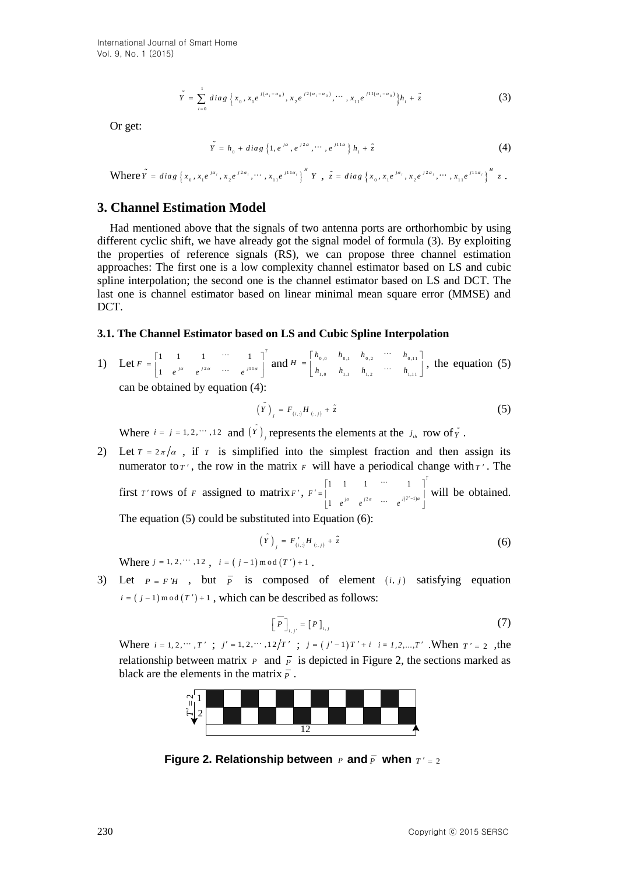$$
\tilde{Y} = \sum_{i=0}^{1} diag\left\{x_0, x_1 e^{j(a_i - a_0)}, x_2 e^{j2(a_i - a_0)}, \cdots, x_{11} e^{j11(a_i - a_0)}\right\}h_i + \tilde{z}
$$
(3)

Or get:

$$
\tilde{Y} = h_0 + diag\{1, e^{ja}, e^{j2a}, \cdots, e^{j11a}\} h_1 + \tilde{z}
$$
 (4)

Where  $\tilde{Y} = diag\{x_0, x_1e^{ja_1}, x_2e^{j2\alpha_1}, \cdots, x_{11}e^{j11\alpha_1}\}^H Y$ ,  $\tilde{z} = diag\{x_0, x_1e^{ja_1}, x_2e^{j2\alpha_1}, \cdots, x_{11}e^{j11\alpha_1}\}^H z$ .

#### **3. Channel Estimation Model**

Had mentioned above that the signals of two antenna ports are orthorhombic by using different cyclic shift, we have already got the signal model of formula (3). By exploiting the properties of reference signals (RS), we can propose three channel estimation approaches: The first one is a low complexity channel estimator based on LS and cubic spline interpolation; the second one is the channel estimator based on LS and DCT. The last one is channel estimator based on linear minimal mean square error (MMSE) and DCT.

#### **3.1. The Channel Estimator based on LS and Cubic Spline Interpolation**

1) Let  $F = \begin{vmatrix} 1 & 1 & 1 \\ 1 & 1 & 1 \end{vmatrix}$   $\begin{pmatrix} 1 & 1 & 1 \\ 1 & 1 & 1 \end{pmatrix}$  $1 \quad 1 \quad 1 \quad \cdots \quad 1$ 1 *T*  $F = \begin{vmatrix} 1 & e^{ja} & e^{j2a} & \cdots & e^{j11a} \end{vmatrix}$  $\begin{bmatrix} 1 & 1 & 1 & \cdots & 1 \end{bmatrix}^T$  $A = \begin{bmatrix} 1 & 1 & 1 & \cdots & 1 \\ 1 & e^{ja} & e^{j2a} & \cdots & e^{j11a} \end{bmatrix}$  and  $H = \begin{bmatrix} h_{0,0} & h_{0,1} & h_{0,2} & \cdots & h_{0,11} \\ h_{1,0} & h_{1,1} & h_{1,2} & \cdots & h_{1,11} \end{bmatrix}$  $n_{1,0}$   $n_{1,1}$   $n_{1,2}$   $n_{1,11}$  $H = \begin{bmatrix} h_{0,0} & h_{0,1} & h_{0,2} & \cdots & h_{0,1} \\ h_{1,0} & h_{1,1} & h_{1,2} & \cdots & h_{0,1} \end{bmatrix}$  $\begin{bmatrix} h_{_{0,0}} & h_{_{0,1}} & h_{_{0,2}} & \cdots & h_{_{0,11}} \end{bmatrix}$  $= \left| \begin{array}{cccc} n_{0,0} & n_{0,1} & n_{0,2} & n_{0,11} \\ h & h & h & \cdots & h \end{array} \right| ,$  $\begin{bmatrix} 0.0 & 0.1 & 0.2 \\ h_{1,0} & h_{1,1} & h_{1,2} & \cdots & h_{1,1} \end{bmatrix}$ , the equation (5) can be obtained by equation (4):

$$
\left(\tilde{Y}\right)_i = F_{(i,j)} H_{(i,j)} + \tilde{z}
$$
\n<sup>(5)</sup>

Where  $i = j = 1, 2, \dots, 12$  and  $(Y)$ , represents the elements at the  $j_{in}$  row of  $\tilde{Y}$ .

2) Let  $T = 2\pi/\alpha$ , if  $T$  is simplified into the simplest fraction and then assign its numerator to  $T'$ , the row in the matrix  $F$  will have a periodical change with  $T'$ . The first *T*' rows of *F* assigned to matrix *F'*, *F'* =  $\int_{a}^{a}$   $\int_{a}^{2a}$  ...  $f(T^{-1})$  $1 - 1 - \cdots - 1$ 1 *T*  $f' = \begin{bmatrix} f' & \cdots & f^{(T-1)a} \\ \vdots & \vdots & \vdots & \vdots \\ 1 & e^{ja} & e^{j2a} & \cdots & e^{j(T-1)a} \end{bmatrix}$  $\begin{bmatrix} 1 & 1 & 1 & \cdots & 1 \end{bmatrix}^T$  $T = \begin{vmatrix} 1 & 1 & 1 & 1 \\ 1 & 1 & 1 & 1 \\ 1 & 1 & 1 & 1 \\ 1 & 1 & 1 & 1 \end{vmatrix}$  W  $\begin{bmatrix} 1 & e^{ja} & e^{j2a} & \cdots & e^{j(\Gamma'-1)a} \end{bmatrix}$ will be obtained. The equation (5) could be substituted into Equation (6):

$$
\left(Y\right)_{i} = F'_{(i,:)}H_{(i,:)} + \tilde{z}
$$
\n<sup>(6)</sup>

Where  $j = 1, 2, \dots, 12$ ,  $i = (j - 1) \mod (T') + 1$ .

3) Let  $P = F'H$ , but  $\overline{P}$  is composed of element  $(i, j)$  satisfying equation  $i = (j - 1) \mod (T') + 1$ , which can be described as follows:

$$
\left[\overline{P}\right]_{i,j'} = \left[P\right]_{i,j} \tag{7}
$$

Where  $i = 1, 2, \dots, T'$ ;  $j' = 1, 2, \dots, 12/T'$ ;  $j = (j'-1)T' + i$   $i = 1, 2, \dots, T'$ . When  $T' = 2$ , the relationship between matrix  $P$  and  $\overline{P}$  is depicted in Figure 2, the sections marked as black are the elements in the matrix  $\overline{P}$ .



**Figure 2. Relationship between** *P* and  $\overline{P}$  when  $T' = 2$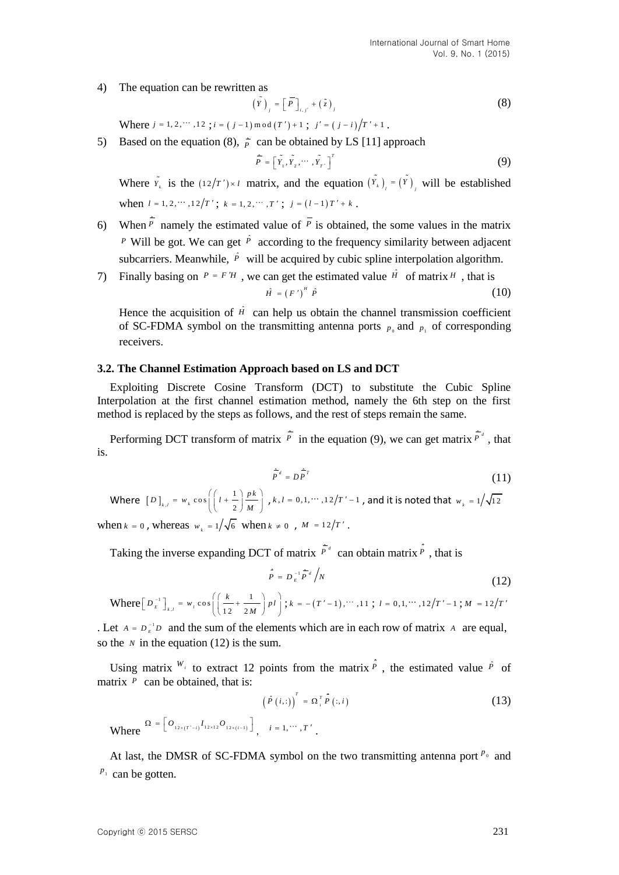4) The equation can be rewritten as

$$
\left(\tilde{Y}\right)_j = \left[\overline{P}\right]_{i,j'} + \left(\tilde{z}\right)_j \tag{8}
$$

Where  $j = 1, 2, \dots, 12$ ;  $i = (j - 1) \mod (T') + 1$ ;  $j' = (j - i)/T' + 1$ .

5) Based on the equation (8),  $\frac{1}{p}$  can be obtained by LS [11] approach

$$
\widehat{\overline{P}} = \left[ \widetilde{Y}_1, \widetilde{Y}_2, \cdots, \widetilde{Y}_{T'} \right]^T \tag{9}
$$

Where  $Y_k$  is the  $(12/T') \times l$  matrix, and the equation  $(Y_k)_{l} = (Y)_{l}$  will be established when  $l = 1, 2, \cdots, 12/T'$ ;  $k = 1, 2, \cdots, T'$ ;  $j = (l - 1)T' + k$ .

- 6) When  $\hat{P}$  namely the estimated value of  $\hat{P}$  is obtained, the some values in the matrix <sup>*P*</sup> Will be got. We can get  $\hat{P}$  according to the frequency similarity between adjacent subcarriers. Meanwhile,  $\hat{P}$  will be acquired by cubic spline interpolation algorithm.
- 7) Finally basing on  $P = F'H$ , we can get the estimated value  $\hat{H}$  of matrix H, that is  $\hat{H} = (F')^H \hat{P}$  $\left(10\right)^{H}$   $\hat{P}$  (10)

Hence the acquisition of  $\hat{H}$  can help us obtain the channel transmission coefficient of SC-FDMA symbol on the transmitting antenna ports  $p_0$  and  $p_1$  of corresponding receivers.

#### **3.2. The Channel Estimation Approach based on LS and DCT**

Exploiting Discrete Cosine Transform (DCT) to substitute the Cubic Spline Interpolation at the first channel estimation method, namely the 6th step on the first method is replaced by the steps as follows, and the rest of steps remain the same.

Performing DCT transform of matrix  $\hat{P}$  in the equation (9), we can get matrix  $\hat{P}^d$ , that is.

$$
\hat{\vec{P}}^d = D \hat{\vec{P}}^T \tag{11}
$$

Where  $\left[\,D\,\right]_{_{k}}$  $w_{k,l} = w_k \cos \left( \left( l + \frac{1}{2} \right) \right)$  $D$ ]<sub>k,l</sub> =  $W_k \cos\left(\left(l + \frac{1}{2}\right) \frac{p k}{M}\right)$  $w_k \cos\left(\left(l + \frac{1}{2}\right) \frac{pk}{M}\right)$ ,  $k, l = 0, 1, \cdots, 12/T' - 1$ , and it is noted that  $w_k = 1/\sqrt{12}$ when  $k = 0$ , whereas  $w_k = 1/\sqrt{6}$  when  $k \neq 0$ ,  $M = 12/T'$ .

Taking the inverse expanding DCT of matrix  $\vec{P}^d$  can obtain matrix  $\vec{P}$ , that is

$$
\hat{P} = D_E^{-1} \hat{P}^d / N \tag{12}
$$

Where 
$$
\left[D_{E}^{-1}\right]_{k,l} = w_{i} \cos\left(\left(\frac{k}{12} + \frac{1}{2M}\right)p l\right); k = -(T'-1), \cdots, 11; l = 0,1, \cdots, 12/T'-1; M = 12/T'
$$

. Let  $A = D_{E}^{-1}D$  and the sum of the elements which are in each row of matrix A are equal, so the  $N$  in the equation (12) is the sum.

Using matrix  $W_i$  to extract 12 points from the matrix  $\hat{P}$ , the estimated value  $\hat{P}$  of matrix  $P$  can be obtained, that is:

$$
\left(\hat{P}\left(i,\cdot\right)\right)^{T} = \Omega_{i}^{T} \hat{P}\left(:,i\right) \tag{13}
$$

Where  $\Omega = \left[ O_{12 \times (T'-i)} I_{12 \times 12} O_{12 \times (i-1)} \right]$ ,  $i = 1, \dots, T'$ .

At last, the DMSR of SC-FDMA symbol on the two transmitting antenna port  $P_0$  and  $p_1$  can be gotten.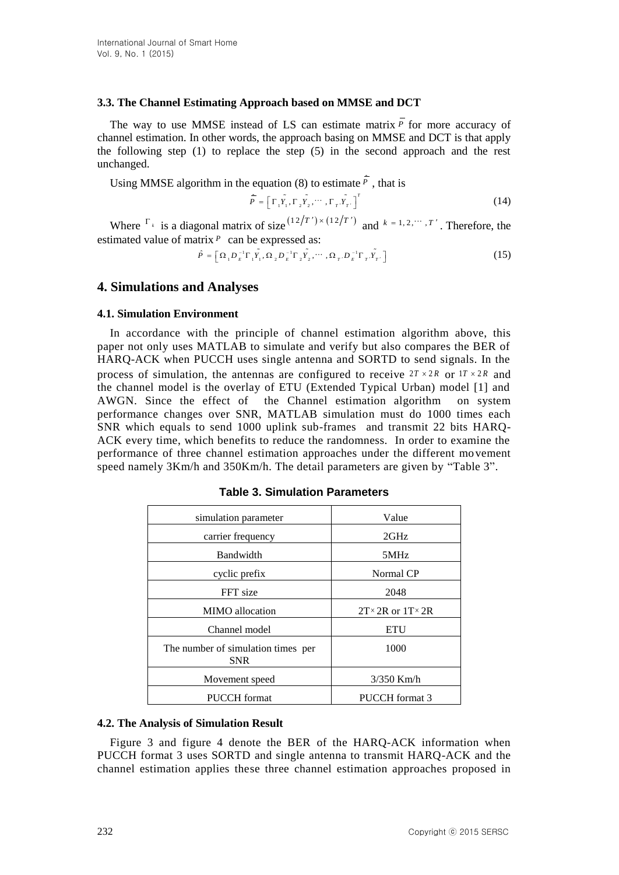#### **3.3. The Channel Estimating Approach based on MMSE and DCT**

The way to use MMSE instead of LS can estimate matrix *P* for more accuracy of channel estimation. In other words, the approach basing on MMSE and DCT is that apply the following step (1) to replace the step (5) in the second approach and the rest unchanged.

Using MMSE algorithm in the equation (8) to estimate  $\vec{P}$ , that is

$$
\hat{\overline{P}} = \left[ \Gamma_1 \tilde{Y}_1, \Gamma_2 \tilde{Y}_2, \cdots, \Gamma_T \tilde{Y}_T \right]^T
$$
\n(14)

Where  $\int_{-k}^{R}$  is a diagonal matrix of size  $\binom{12}{T} \times \binom{12}{T}$  and  $k = 1, 2, \dots, T'$ . Therefore, the estimated value of matrix *P* can be expressed as:

$$
\hat{P} = \left[ \Omega_1 D_E^{-1} \Gamma_1 \tilde{Y}_1, \Omega_2 D_E^{-1} \Gamma_2 \tilde{Y}_2, \cdots, \Omega_T D_E^{-1} \Gamma_T \tilde{Y}_T \right]
$$
(15)

## **4. Simulations and Analyses**

#### **4.1. Simulation Environment**

In accordance with the principle of channel estimation algorithm above, this paper not only uses MATLAB to simulate and verify but also compares the BER of HARQ-ACK when PUCCH uses single antenna and SORTD to send signals. In the process of simulation, the antennas are configured to receive  $2T \times 2R$  or  $1T \times 2R$  and the channel model is the overlay of ETU (Extended Typical Urban) model [1] and AWGN. Since the effect of the Channel estimation algorithm on system performance changes over SNR, MATLAB simulation must do 1000 times each SNR which equals to send 1000 uplink sub-frames and transmit 22 bits HARQ-ACK every time, which benefits to reduce the randomness. In order to examine the performance of three channel estimation approaches under the different movement speed namely 3Km/h and 350Km/h. The detail parameters are given by "Table 3".

| simulation parameter                             | Value                            |
|--------------------------------------------------|----------------------------------|
| carrier frequency                                | 2GHz                             |
| Bandwidth                                        | 5MHz                             |
| cyclic prefix                                    | Normal CP                        |
| FFT size                                         | 2048                             |
| <b>MIMO</b> allocation                           | $2T \times 2R$ or $1T \times 2R$ |
| Channel model                                    | <b>ETU</b>                       |
| The number of simulation times per<br><b>SNR</b> | 1000                             |
| Movement speed                                   | $3/350$ Km/h                     |
| PUCCH format                                     | PUCCH format 3                   |

**Table 3. Simulation Parameters**

#### **4.2. The Analysis of Simulation Result**

Figure 3 and figure 4 denote the BER of the HARQ-ACK information when PUCCH format 3 uses SORTD and single antenna to transmit HARQ-ACK and the channel estimation applies these three channel estimation approaches proposed in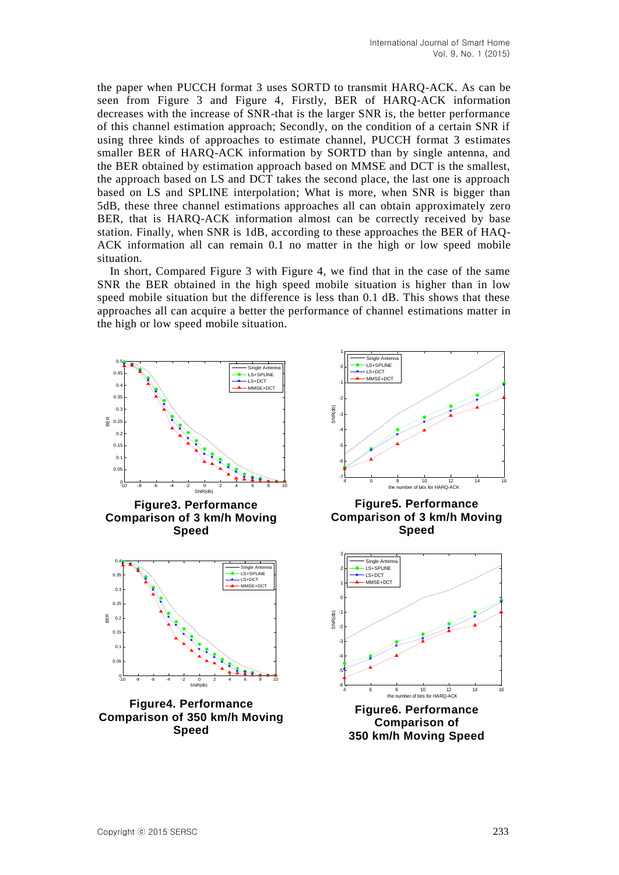the paper when PUCCH format 3 uses SORTD to transmit HARQ-ACK. As can be seen from Figure 3 and Figure 4, Firstly, BER of HARQ-ACK information decreases with the increase of SNR-that is the larger SNR is, the better performance of this channel estimation approach; Secondly, on the condition of a certain SNR if using three kinds of approaches to estimate channel, PUCCH format 3 estimates smaller BER of HARQ-ACK information by SORTD than by single antenna, and the BER obtained by estimation approach based on MMSE and DCT is the smallest, the approach based on LS and DCT takes the second place, the last one is approach based on LS and SPLINE interpolation; What is more, when SNR is bigger than 5dB, these three channel estimations approaches all can obtain approximately zero BER, that is HARQ-ACK information almost can be correctly received by base station. Finally, when SNR is 1dB, according to these approaches the BER of HAQ-ACK information all can remain 0.1 no matter in the high or low speed mobile situation.

In short, Compared Figure 3 with Figure 4, we find that in the case of the same SNR the BER obtained in the high speed mobile situation is higher than in low speed mobile situation but the difference is less than 0.1 dB. This shows that these approaches all can acquire a better the performance of channel estimations matter in the high or low speed mobile situation.

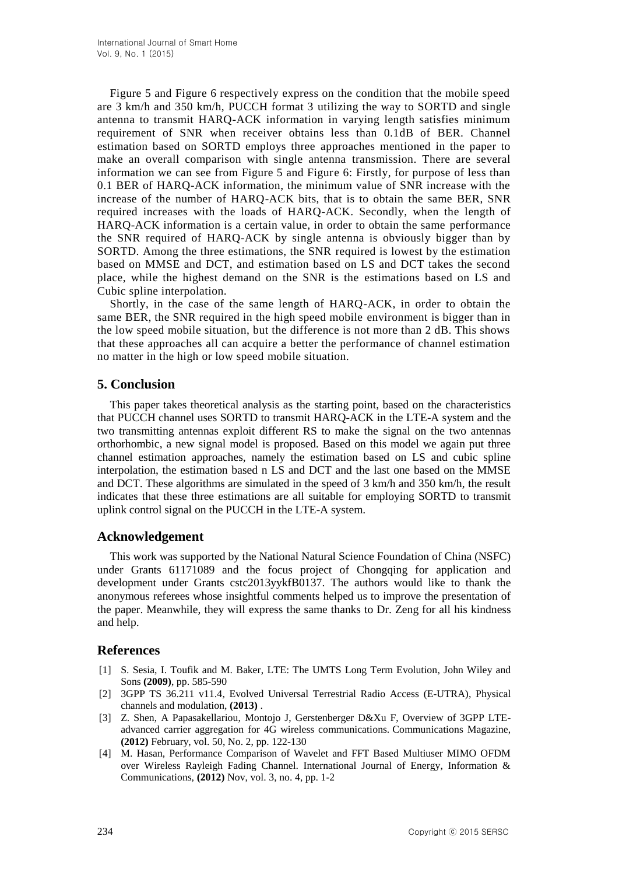Figure 5 and Figure 6 respectively express on the condition that the mobile speed are 3 km/h and 350 km/h, PUCCH format 3 utilizing the way to SORTD and single antenna to transmit HARQ-ACK information in varying length satisfies minimum requirement of SNR when receiver obtains less than 0.1dB of BER. Channel estimation based on SORTD employs three approaches mentioned in the paper to make an overall comparison with single antenna transmission. There are several information we can see from Figure 5 and Figure 6: Firstly, for purpose of less than 0.1 BER of HARQ-ACK information, the minimum value of SNR increase with the increase of the number of HARQ-ACK bits, that is to obtain the same BER, SNR required increases with the loads of HARQ-ACK. Secondly, when the length of HARQ-ACK information is a certain value, in order to obtain the same performance the SNR required of HARQ-ACK by single antenna is obviously bigger than by SORTD. Among the three estimations, the SNR required is lowest by the estimation based on MMSE and DCT, and estimation based on LS and DCT takes the second place, while the highest demand on the SNR is the estimations based on LS and Cubic spline interpolation.

Shortly, in the case of the same length of HARQ-ACK, in order to obtain the same BER, the SNR required in the high speed mobile environment is bigger than in the low speed mobile situation, but the difference is not more than 2 dB. This shows that these approaches all can acquire a better the performance of channel estimation no matter in the high or low speed mobile situation.

## **5. Conclusion**

This paper takes theoretical analysis as the starting point, based on the characteristics that PUCCH channel uses SORTD to transmit HARQ-ACK in the LTE-A system and the two transmitting antennas exploit different RS to make the signal on the two antennas orthorhombic, a new signal model is proposed. Based on this model we again put three channel estimation approaches, namely the estimation based on LS and cubic spline interpolation, the estimation based n LS and DCT and the last one based on the MMSE and DCT. These algorithms are simulated in the speed of 3 km/h and 350 km/h, the result indicates that these three estimations are all suitable for employing SORTD to transmit uplink control signal on the PUCCH in the LTE-A system.

## **Acknowledgement**

This work was supported by the National Natural Science Foundation of China (NSFC) under Grants 61171089 and the focus project of Chongqing for application and development under Grants cstc2013yykfB0137. The authors would like to thank the anonymous referees whose insightful comments helped us to improve the presentation of the paper. Meanwhile, they will express the same thanks to Dr. Zeng for all his kindness and help.

## **References**

- [1] S. Sesia, I. Toufik and M. Baker, LTE: The UMTS Long Term Evolution, John Wiley and Sons **(2009)**, pp. 585-590
- [2] 3GPP TS 36.211 v11.4, Evolved Universal Terrestrial Radio Access (E-UTRA), Physical channels and modulation, **(2013)** .
- [3] Z. Shen, A Papasakellariou, Montojo J, Gerstenberger D&Xu F, Overview of 3GPP LTEadvanced carrier aggregation for 4G wireless communications. Communications Magazine, **(2012)** February, vol. 50, No. 2, pp. 122-130
- [4] M. Hasan, Performance Comparison of Wavelet and FFT Based Multiuser MIMO OFDM over Wireless Rayleigh Fading Channel. International Journal of Energy, Information & Communications, **(2012)** Nov, vol. 3, no. 4, pp. 1-2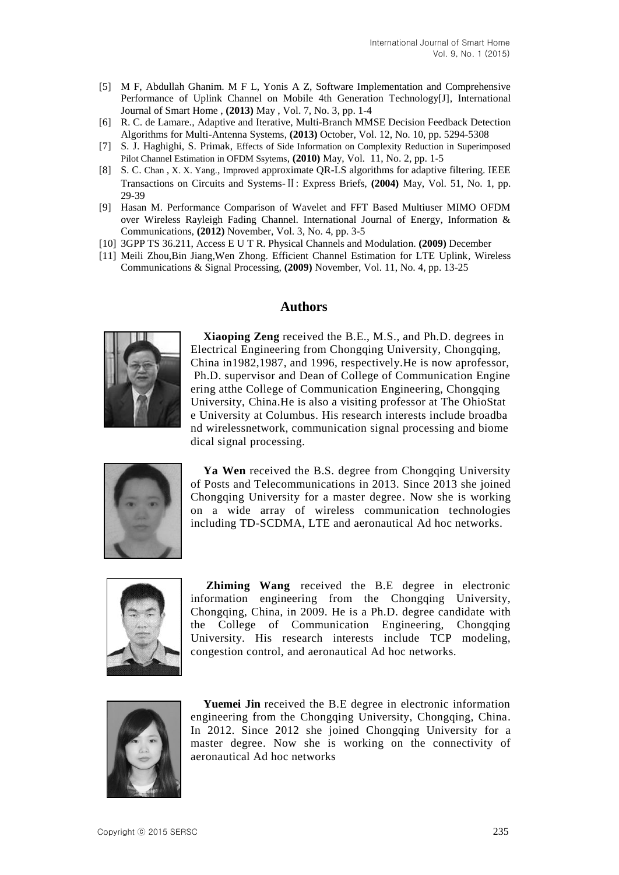- [5] M F, Abdullah Ghanim. M F L, Yonis A Z, Software Implementation and Comprehensive Performance of Uplink Channel on Mobile 4th Generation Technology[J], International Journal of Smart Home , **(2013)** May , Vol. 7, No. 3, pp. 1-4
- [6] R. C. de Lamare., Adaptive and Iterative, Multi-Branch MMSE Decision Feedback Detection Algorithms for Multi-Antenna Systems, **(2013)** October, Vol. 12, No. 10, pp. 5294-5308
- [7] S. J. Haghighi, S. Primak, Effects [of Side Information on Complexity Reduction in Superimposed](http://scholar.cnki.net/detail/summary.aspx?filename=SJES13011300096356&tablename=SJES_U&vendor=1100)  [Pilot Channel Estimation in OFDM Ssytems](http://scholar.cnki.net/detail/summary.aspx?filename=SJES13011300096356&tablename=SJES_U&vendor=1100), **(2010)** May, Vol. 11, No. 2, pp. 1-5
- [8] S. C. [Chan](http://scholar.cnki.net/result.aspx?q=%e4%bd%9c%e8%80%85%3a(Linchao+Yang)&uid=WEEvREcwSlJHSldSdnQ0TWcveHErNEJNNDBHb3NRSkJVeDJmbnNtSlQrazRjR09aT3BJNUg5Y2ZleE5FMlZJPQ==) , [X. X. Yang.](http://scholar.cnki.net/result.aspx?q=%e4%bd%9c%e8%80%85%3a(Min+Jia)&uid=WEEvREcwSlJHSldSdnQ0TWcveHErNEJNNDBHb3NRSkJVeDJmbnNtSlQrazRjR09aT3BJNUg5Y2ZleE5FMlZJPQ==), [Improved](http://scholar.cnki.net/detail/summary.aspx?filename=SJES13011300066835&tablename=SJES_U&vendor=1100) approximate QR-LS algorithms for adaptive filtering. IEEE Transactions on Circuits and Systems-Ⅱ: Express Briefs, **(2004)** May, Vol. 51, No. 1, pp. 29-39
- [9] Hasan M. Performance Comparison of Wavelet and FFT Based Multiuser MIMO OFDM over Wireless Rayleigh Fading Channel. International Journal of Energy, Information & Communications, **(2012)** November, Vol. 3, No. 4, pp. 3-5
- [10] 3GPP TS 36.211, Access E U T R. Physical Channels and Modulation. **(2009)** December
- [11] Meili Zhou,Bin Jiang,Wen Zhong. Efficient Channel Estimation for LTE Uplink, Wireless Communications & Signal Processing, **(2009)** November, Vol. 11, No. 4, pp. 13-25

## **Authors**



**Xiaoping Zeng** received the B.E., M.S., and Ph.D. degrees in Electrical Engineering from Chongqing University, Chongqing, China in1982,1987, and 1996, respectively.He is now aprofessor, Ph.D. supervisor and Dean of College of Communication Engine ering atthe College of Communication Engineering, Chongqing University, China.He is also a visiting professor at The OhioStat e University at Columbus. His research interests include broadba nd wirelessnetwork, communication signal processing and biome dical signal processing.



**Ya Wen** received the B.S. degree from Chongqing University of Posts and Telecommunications in 2013. Since 2013 she joined Chongqing University for a master degree. Now she is working on a wide array of wireless communication technologies including TD-SCDMA, LTE and aeronautical Ad hoc networks.



**Zhiming Wang** received the B.E degree in electronic information engineering from the Chongqing University, Chongqing, China, in 2009. He is a Ph.D. degree candidate with the College of Communication Engineering, Chongqing University. His research interests include TCP modeling, congestion control, and aeronautical Ad hoc networks.



**Yuemei Jin** received the B.E degree in electronic information engineering from the Chongqing University, Chongqing, China. In 2012. Since 2012 she joined Chongqing University for a master degree. Now she is working on the connectivity of aeronautical Ad hoc networks